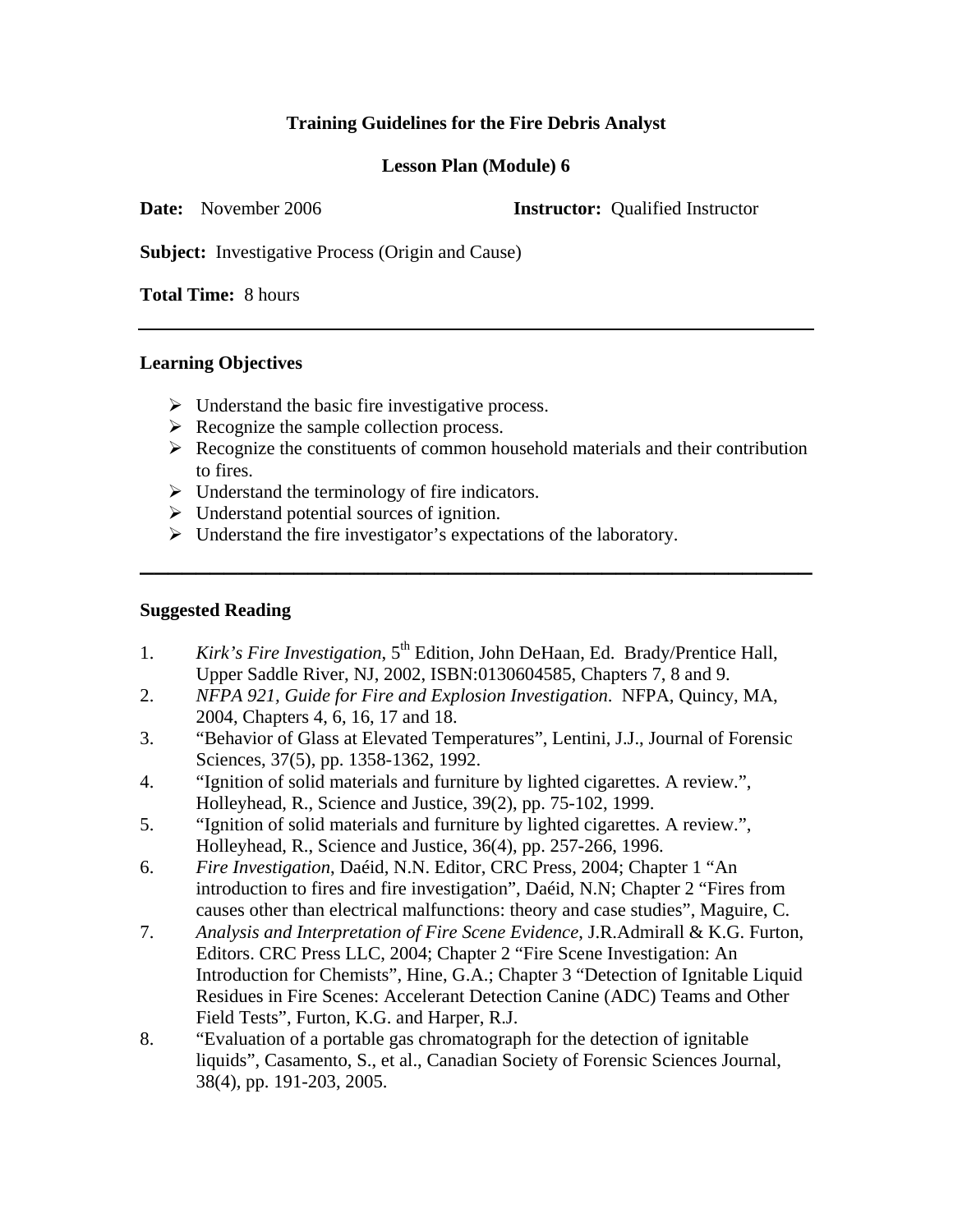# **Training Guidelines for the Fire Debris Analyst**

## **Lesson Plan (Module) 6**

**Date:** November 2006 **Instructor:** Oualified Instructor

**Subject:** Investigative Process (Origin and Cause)

**Total Time:** 8 hours

### **Learning Objectives**

- $\triangleright$  Understand the basic fire investigative process.
- $\triangleright$  Recognize the sample collection process.
- $\triangleright$  Recognize the constituents of common household materials and their contribution to fires.

**\_\_\_\_\_\_\_\_\_\_\_\_\_\_\_\_\_\_\_\_\_\_\_\_\_\_\_\_\_\_\_\_\_\_\_\_\_\_\_\_\_\_\_\_\_\_\_\_** 

- $\triangleright$  Understand the terminology of fire indicators.
- $\triangleright$  Understand potential sources of ignition.
- $\triangleright$  Understand the fire investigator's expectations of the laboratory.

## **Suggested Reading**

- 1. *Kirk's Fire Investigation*, 5<sup>th</sup> Edition, John DeHaan, Ed. Brady/Prentice Hall, Upper Saddle River, NJ, 2002, ISBN:0130604585, Chapters 7, 8 and 9.
- 2. *NFPA 921, Guide for Fire and Explosion Investigation*. NFPA, Quincy, MA, 2004, Chapters 4, 6, 16, 17 and 18.
- 3. "Behavior of Glass at Elevated Temperatures", Lentini, J.J., Journal of Forensic Sciences, 37(5), pp. 1358-1362, 1992.
- 4. "Ignition of solid materials and furniture by lighted cigarettes. A review.", Holleyhead, R., Science and Justice, 39(2), pp. 75-102, 1999.
- 5. "Ignition of solid materials and furniture by lighted cigarettes. A review.", Holleyhead, R., Science and Justice, 36(4), pp. 257-266, 1996.
- 6. *Fire Investigation*, Daéid, N.N. Editor, CRC Press, 2004; Chapter 1 "An introduction to fires and fire investigation", Daéid, N.N; Chapter 2 "Fires from causes other than electrical malfunctions: theory and case studies", Maguire, C.
- 7. *Analysis and Interpretation of Fire Scene Evidence*, J.R.Admirall & K.G. Furton, Editors. CRC Press LLC, 2004; Chapter 2 "Fire Scene Investigation: An Introduction for Chemists", Hine, G.A.; Chapter 3 "Detection of Ignitable Liquid Residues in Fire Scenes: Accelerant Detection Canine (ADC) Teams and Other Field Tests", Furton, K.G. and Harper, R.J.
- 8. "Evaluation of a portable gas chromatograph for the detection of ignitable liquids", Casamento, S., et al., Canadian Society of Forensic Sciences Journal, 38(4), pp. 191-203, 2005.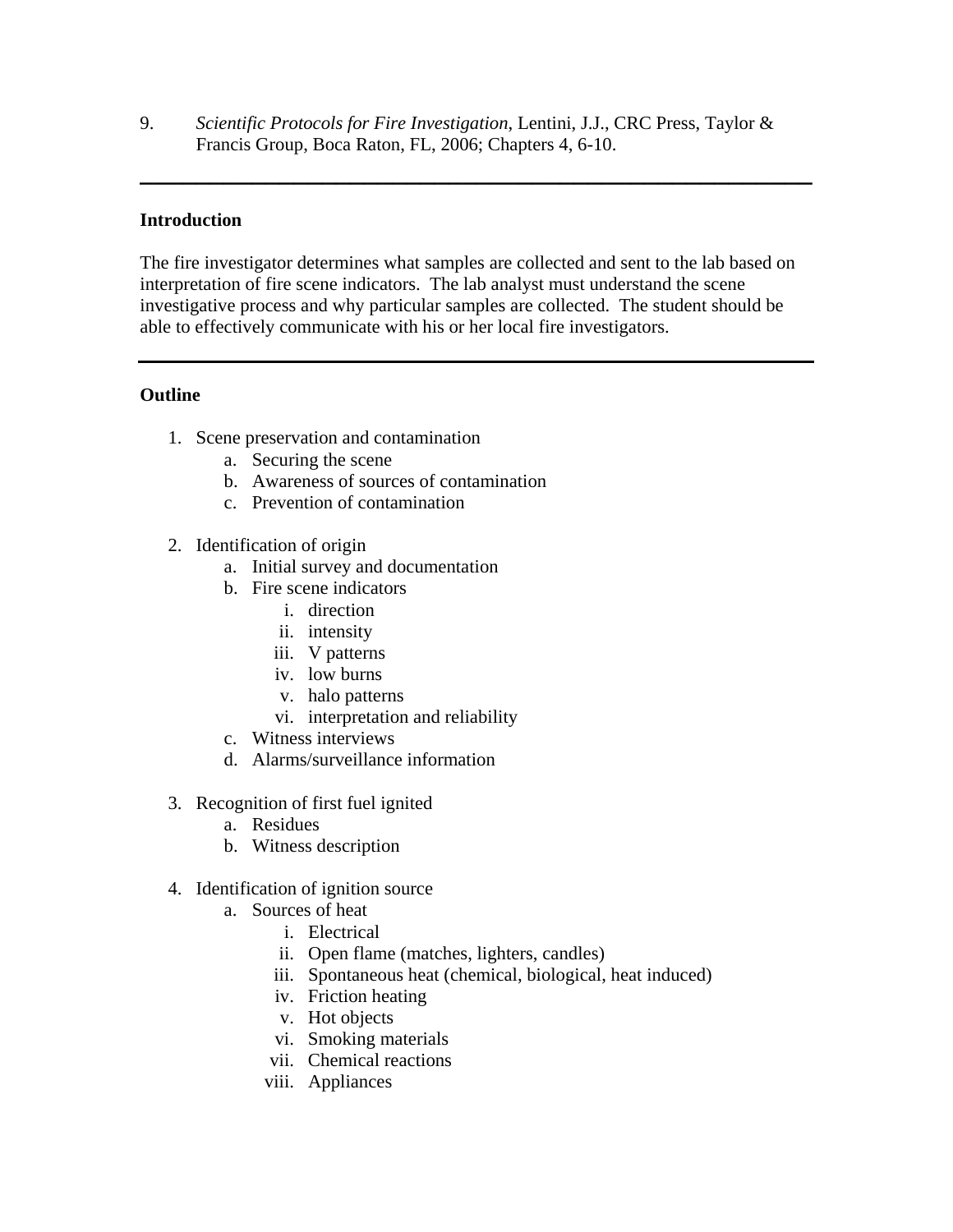9. *Scientific Protocols for Fire Investigation*, Lentini, J.J., CRC Press, Taylor & Francis Group, Boca Raton, FL, 2006; Chapters 4, 6-10.

**\_\_\_\_\_\_\_\_\_\_\_\_\_\_\_\_\_\_\_\_\_\_\_\_\_\_\_\_\_\_\_\_\_\_\_\_\_\_\_\_\_\_\_\_\_\_\_\_**

#### **Introduction**

The fire investigator determines what samples are collected and sent to the lab based on interpretation of fire scene indicators. The lab analyst must understand the scene investigative process and why particular samples are collected. The student should be able to effectively communicate with his or her local fire investigators.

#### **Outline**

- 1. Scene preservation and contamination
	- a. Securing the scene
	- b. Awareness of sources of contamination
	- c. Prevention of contamination
- 2. Identification of origin
	- a. Initial survey and documentation
	- b. Fire scene indicators
		- i. direction
		- ii. intensity
		- iii. V patterns
		- iv. low burns
		- v. halo patterns
		- vi. interpretation and reliability
	- c. Witness interviews
	- d. Alarms/surveillance information
- 3. Recognition of first fuel ignited
	- a. Residues
	- b. Witness description
- 4. Identification of ignition source
	- a. Sources of heat
		- i. Electrical
		- ii. Open flame (matches, lighters, candles)
		- iii. Spontaneous heat (chemical, biological, heat induced)
		- iv. Friction heating
		- v. Hot objects
		- vi. Smoking materials
		- vii. Chemical reactions
		- viii. Appliances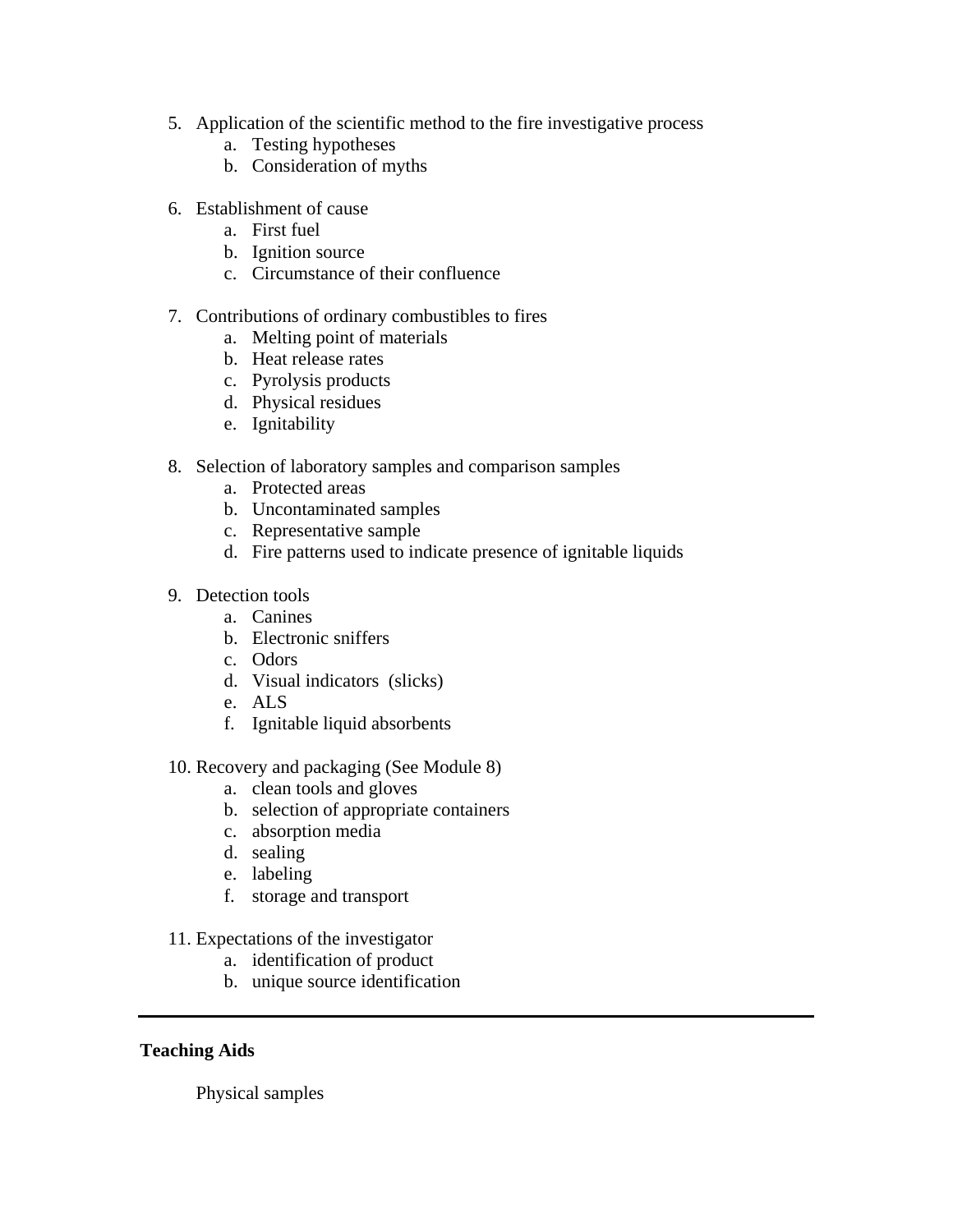- 5. Application of the scientific method to the fire investigative process
	- a. Testing hypotheses
	- b. Consideration of myths
- 6. Establishment of cause
	- a. First fuel
	- b. Ignition source
	- c. Circumstance of their confluence

### 7. Contributions of ordinary combustibles to fires

- a. Melting point of materials
- b. Heat release rates
- c. Pyrolysis products
- d. Physical residues
- e. Ignitability
- 8. Selection of laboratory samples and comparison samples
	- a. Protected areas
	- b. Uncontaminated samples
	- c. Representative sample
	- d. Fire patterns used to indicate presence of ignitable liquids
- 9. Detection tools
	- a. Canines
	- b. Electronic sniffers
	- c. Odors
	- d. Visual indicators (slicks)
	- e. ALS
	- f. Ignitable liquid absorbents
- 10. Recovery and packaging (See Module 8)
	- a. clean tools and gloves
	- b. selection of appropriate containers
	- c. absorption media
	- d. sealing
	- e. labeling
	- f. storage and transport
- 11. Expectations of the investigator
	- a. identification of product
	- b. unique source identification

## **Teaching Aids**

Physical samples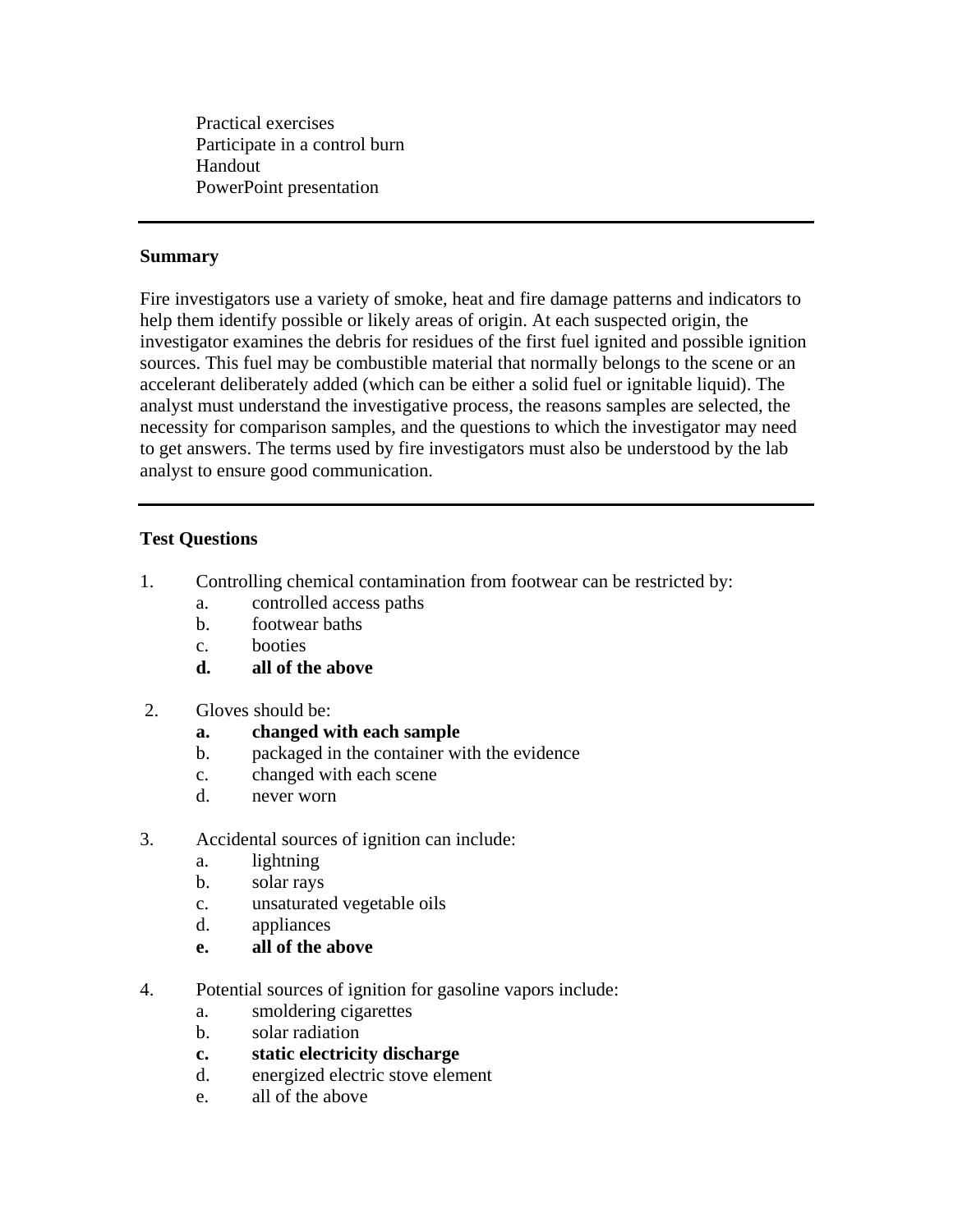Practical exercises Participate in a control burn Handout PowerPoint presentation

#### **Summary**

Fire investigators use a variety of smoke, heat and fire damage patterns and indicators to help them identify possible or likely areas of origin. At each suspected origin, the investigator examines the debris for residues of the first fuel ignited and possible ignition sources. This fuel may be combustible material that normally belongs to the scene or an accelerant deliberately added (which can be either a solid fuel or ignitable liquid). The analyst must understand the investigative process, the reasons samples are selected, the necessity for comparison samples, and the questions to which the investigator may need to get answers. The terms used by fire investigators must also be understood by the lab analyst to ensure good communication.

### **Test Questions**

- 1. Controlling chemical contamination from footwear can be restricted by:
	- a. controlled access paths
	- b. footwear baths
	- c. booties
	- **d. all of the above**
- 2. Gloves should be:
	- **a. changed with each sample**
	- b. packaged in the container with the evidence
	- c. changed with each scene
	- d. never worn
- 3. Accidental sources of ignition can include:
	- a. lightning
	- b. solar rays
	- c. unsaturated vegetable oils
	- d. appliances
	- **e. all of the above**
- 4. Potential sources of ignition for gasoline vapors include:
	- a. smoldering cigarettes
	- b. solar radiation
	- **c. static electricity discharge**
	- d. energized electric stove element
	- e. all of the above